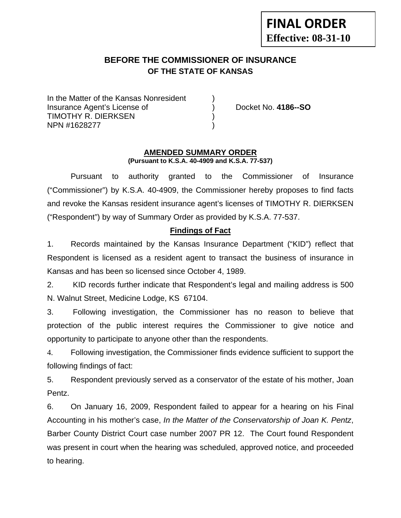# **FINAL ORDER Effective: 08-31-10**

# **BEFORE THE COMMISSIONER OF INSURANCE OF THE STATE OF KANSAS**

In the Matter of the Kansas Nonresident Insurance Agent's License of ) Docket No. **4186--SO** TIMOTHY R. DIERKSEN ) NPN #1628277 )

#### **AMENDED SUMMARY ORDER (Pursuant to K.S.A. 40-4909 and K.S.A. 77-537)**

 Pursuant to authority granted to the Commissioner of Insurance ("Commissioner") by K.S.A. 40-4909, the Commissioner hereby proposes to find facts and revoke the Kansas resident insurance agent's licenses of TIMOTHY R. DIERKSEN ("Respondent") by way of Summary Order as provided by K.S.A. 77-537.

### **Findings of Fact**

1. Records maintained by the Kansas Insurance Department ("KID") reflect that Respondent is licensed as a resident agent to transact the business of insurance in Kansas and has been so licensed since October 4, 1989.

2. KID records further indicate that Respondent's legal and mailing address is 500 N. Walnut Street, Medicine Lodge, KS 67104.

3. Following investigation, the Commissioner has no reason to believe that protection of the public interest requires the Commissioner to give notice and opportunity to participate to anyone other than the respondents.

4. Following investigation, the Commissioner finds evidence sufficient to support the following findings of fact:

5. Respondent previously served as a conservator of the estate of his mother, Joan Pentz.

6. On January 16, 2009, Respondent failed to appear for a hearing on his Final Accounting in his mother's case, *In the Matter of the Conservatorship of Joan K. Pentz*, Barber County District Court case number 2007 PR 12. The Court found Respondent was present in court when the hearing was scheduled, approved notice, and proceeded to hearing.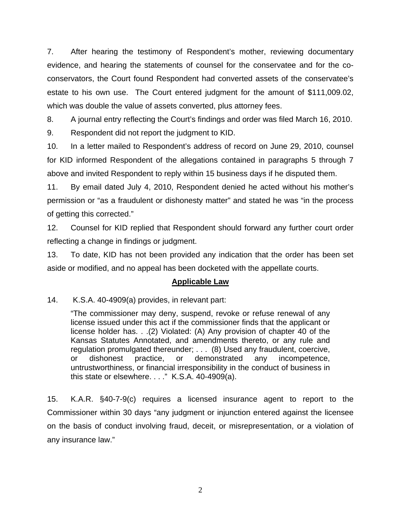7. After hearing the testimony of Respondent's mother, reviewing documentary evidence, and hearing the statements of counsel for the conservatee and for the coconservators, the Court found Respondent had converted assets of the conservatee's estate to his own use. The Court entered judgment for the amount of \$111,009.02, which was double the value of assets converted, plus attorney fees.

8. A journal entry reflecting the Court's findings and order was filed March 16, 2010.

9. Respondent did not report the judgment to KID.

10. In a letter mailed to Respondent's address of record on June 29, 2010, counsel for KID informed Respondent of the allegations contained in paragraphs 5 through 7 above and invited Respondent to reply within 15 business days if he disputed them.

11. By email dated July 4, 2010, Respondent denied he acted without his mother's permission or "as a fraudulent or dishonesty matter" and stated he was "in the process of getting this corrected."

12. Counsel for KID replied that Respondent should forward any further court order reflecting a change in findings or judgment.

13. To date, KID has not been provided any indication that the order has been set aside or modified, and no appeal has been docketed with the appellate courts.

#### **Applicable Law**

14. K.S.A. 40-4909(a) provides, in relevant part:

"The commissioner may deny, suspend, revoke or refuse renewal of any license issued under this act if the commissioner finds that the applicant or license holder has. . .(2) Violated: (A) Any provision of chapter 40 of the Kansas Statutes Annotated, and amendments thereto, or any rule and regulation promulgated thereunder; . . . (8) Used any fraudulent, coercive, or dishonest practice, or demonstrated any incompetence, untrustworthiness, or financial irresponsibility in the conduct of business in this state or elsewhere. . . ." K.S.A. 40-4909(a).

15. K.A.R. §40-7-9(c) requires a licensed insurance agent to report to the Commissioner within 30 days "any judgment or injunction entered against the licensee on the basis of conduct involving fraud, deceit, or misrepresentation, or a violation of any insurance law."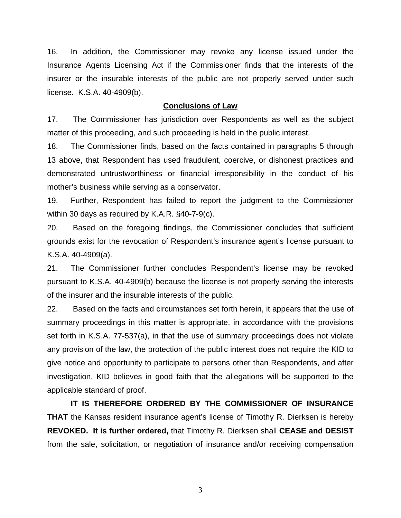16. In addition, the Commissioner may revoke any license issued under the Insurance Agents Licensing Act if the Commissioner finds that the interests of the insurer or the insurable interests of the public are not properly served under such license. K.S.A. 40-4909(b).

#### **Conclusions of Law**

17. The Commissioner has jurisdiction over Respondents as well as the subject matter of this proceeding, and such proceeding is held in the public interest.

18. The Commissioner finds, based on the facts contained in paragraphs 5 through 13 above, that Respondent has used fraudulent, coercive, or dishonest practices and demonstrated untrustworthiness or financial irresponsibility in the conduct of his mother's business while serving as a conservator.

19. Further, Respondent has failed to report the judgment to the Commissioner within 30 days as required by K.A.R. §40-7-9(c).

20. Based on the foregoing findings, the Commissioner concludes that sufficient grounds exist for the revocation of Respondent's insurance agent's license pursuant to K.S.A. 40-4909(a).

21. The Commissioner further concludes Respondent's license may be revoked pursuant to K.S.A. 40-4909(b) because the license is not properly serving the interests of the insurer and the insurable interests of the public.

22. Based on the facts and circumstances set forth herein, it appears that the use of summary proceedings in this matter is appropriate, in accordance with the provisions set forth in K.S.A. 77-537(a), in that the use of summary proceedings does not violate any provision of the law, the protection of the public interest does not require the KID to give notice and opportunity to participate to persons other than Respondents, and after investigation, KID believes in good faith that the allegations will be supported to the applicable standard of proof.

 **IT IS THEREFORE ORDERED BY THE COMMISSIONER OF INSURANCE THAT** the Kansas resident insurance agent's license of Timothy R. Dierksen is hereby **REVOKED. It is further ordered,** that Timothy R. Dierksen shall **CEASE and DESIST** from the sale, solicitation, or negotiation of insurance and/or receiving compensation

3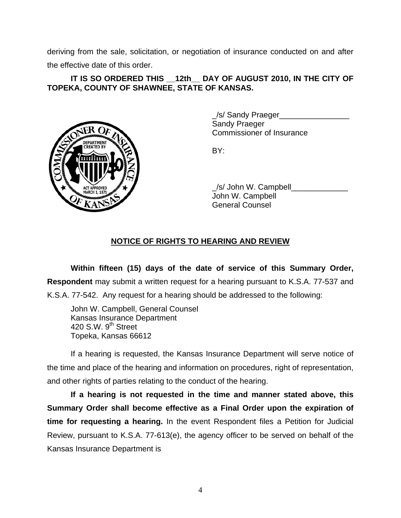deriving from the sale, solicitation, or negotiation of insurance conducted on and after the effective date of this order.

#### IT IS SO ORDERED THIS 12th DAY OF AUGUST 2010, IN THE CITY OF **TOPEKA, COUNTY OF SHAWNEE, STATE OF KANSAS.**



 \_/s/ Sandy Praeger\_\_\_\_\_\_\_\_\_\_\_\_\_\_\_\_ Sandy Praeger Commissioner of Insurance

/s/ John W. Campbell John W. Campbell General Counsel

# **NOTICE OF RIGHTS TO HEARING AND REVIEW**

**Within fifteen (15) days of the date of service of this Summary Order, Respondent** may submit a written request for a hearing pursuant to K.S.A. 77-537 and K.S.A. 77-542. Any request for a hearing should be addressed to the following:

 John W. Campbell, General Counsel Kansas Insurance Department 420 S.W.  $9<sup>th</sup>$  Street Topeka, Kansas 66612

If a hearing is requested, the Kansas Insurance Department will serve notice of the time and place of the hearing and information on procedures, right of representation, and other rights of parties relating to the conduct of the hearing.

**If a hearing is not requested in the time and manner stated above, this Summary Order shall become effective as a Final Order upon the expiration of time for requesting a hearing.** In the event Respondent files a Petition for Judicial Review, pursuant to K.S.A. 77-613(e), the agency officer to be served on behalf of the Kansas Insurance Department is